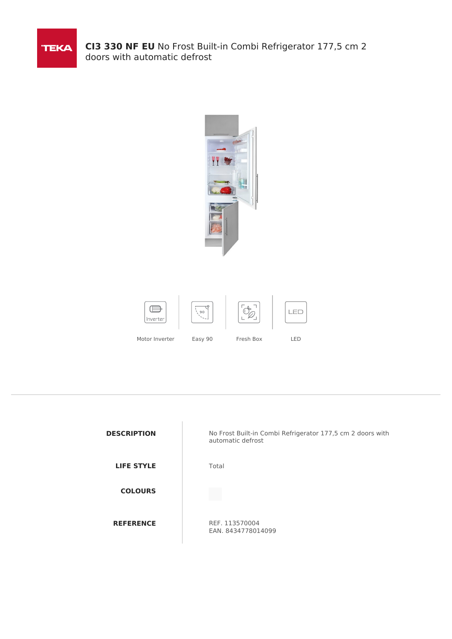

**CI3 330 NF EU** No Frost Built-in Combi Refrigerator 177,5 cm 2 doors with automatic defrost



| <b>DESCRIPTION</b> | No Frost Built-in Combi Refrigerator 177,5 cm 2 doors with<br>automatic defrost |
|--------------------|---------------------------------------------------------------------------------|
| <b>LIFE STYLE</b>  | Total                                                                           |
| <b>COLOURS</b>     |                                                                                 |
| <b>REFERENCE</b>   | REF. 113570004<br>EAN. 8434778014099                                            |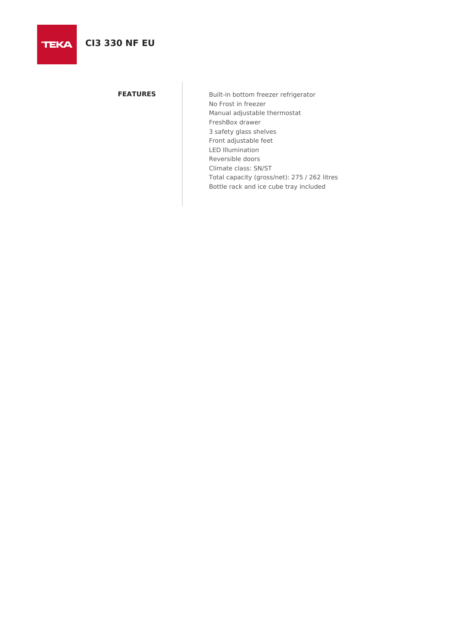**FEATURES** Built-in bottom freezer refrigerator No Frost in freezer Manual adjustable thermostat FreshBox drawer 3 safety glass shelves Front adjustable feet LED Illumination Reversible doors Climate class: SN/ST Total capacity (gross/net): 275 / 262 litres Bottle rack and ice cube tray included

## **TEKA**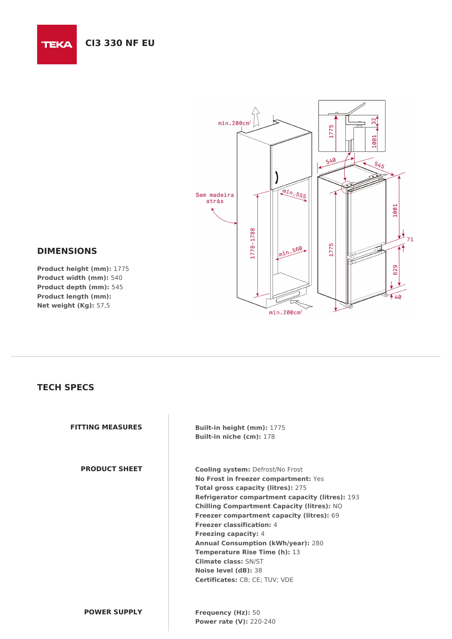

## **DIMENSIONS**

**TEKA** 

**Product height (mm):** 1775 **Product width (mm):** 540 **Product depth (mm):** 545 **Product length (mm): Net weight (Kg):** 57,5

## **TECH SPECS**

**FITTING MEASURES Built-in height (mm):** 1775 **Built-in niche (cm):** 178

**PRODUCT SHEET Cooling system:** Defrost/No Frost **No Frost in freezer compartment:** Yes **Total gross capacity (litres):** 275 **Refrigerator compartment capacity (litres):** 193 **Chilling Compartment Capacity (litres):** NO **Freezer compartment capacity (litres):** 69 **Freezer classification:** 4 **Freezing capacity:** 4 **Annual Consumption (kWh/year):** 280 **Temperature Rise Time (h):** 13 **Climate class:** SN/ST **Noise level (dB):** 38 **Certificates:** CB; CE; TUV; VDE

**POWER SUPPLY Frequency (Hz):** 50 **Power rate (V):** 220-240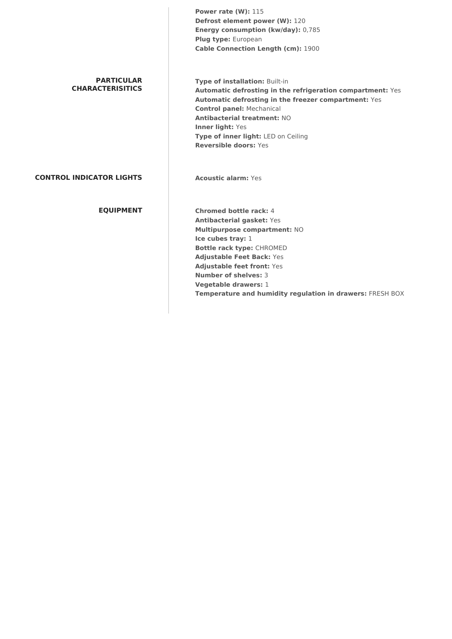**Power rate (W):** 115 **Defrost element power (W):** 120 **Energy consumption (kw/day):** 0,785 **Plug type:** European **Cable Connection Length (cm):** 1900 **PARTICULAR CHARACTERISITICS Type of installation:** Built-in **Automatic defrosting in the refrigeration compartment:** Yes **Automatic defrosting in the freezer compartment:** Yes **Control panel:** Mechanical **Antibacterial treatment:** NO **Inner light:** Yes **Type of inner light:** LED on Ceiling **Reversible doors:** Yes **CONTROL INDICATOR LIGHTS Acoustic alarm:** Yes **EQUIPMENT Chromed bottle rack:** 4 **Antibacterial gasket:** Yes **Multipurpose compartment:** NO **Ice cubes tray:** 1 **Bottle rack type:** CHROMED **Adjustable Feet Back:** Yes **Adjustable feet front:** Yes **Number of shelves:** 3 **Vegetable drawers:** 1 **Temperature and humidity regulation in drawers:** FRESH BOX